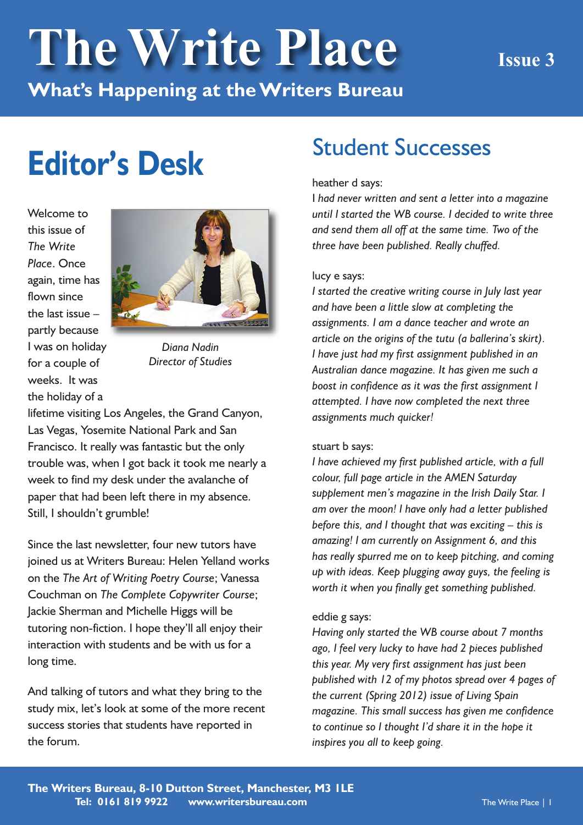# **The Write Place Issue <sup>3</sup>**

**What's Happening at theWriters Bureau**

## **Editor's Desk**

Welcome to this issue of *The Write Place*. Once again, time has flown since the last issue – partly because I was on holiday for a couple of weeks. It was the holiday of a



*Diana Nadin Director of Studies*

lifetime visiting Los Angeles, the Grand Canyon, Las Vegas, Yosemite National Park and San Francisco. It really was fantastic but the only trouble was, when I got back it took me nearly a week to find my desk under the avalanche of paper that had been left there in my absence. Still, I shouldn't grumble!

Since the last newsletter, four new tutors have joined us at Writers Bureau: Helen Yelland works on the *The Art of Writing Poetry Course*; Vanessa Couchman on *The Complete Copywriter Course*; Jackie Sherman and Michelle Higgs will be tutoring non-fiction. I hope they'll all enjoy their interaction with students and be with us for a long time.

And talking of tutors and what they bring to the study mix, let's look at some of the more recent success stories that students have reported in the forum.

### Student Successes

#### heather d says:

I *had never written and sent a letter into a magazine until I started the WB course. I decided to write three and send them all off at the same time. Two of the three have been published. Really chuffed.*

#### lucy e says:

*I started the creative writing course in July last year and have been a little slow at completing the assignments. I am a dance teacher and wrote an article on the origins of the tutu (a ballerina's skirt). I have just had my first assignment published in an Australian dance magazine. It has given me such a boost in confidence as it was the first assignment I attempted. I have now completed the next three assignments much quicker!*

#### stuart b says:

*I have achieved my first published article, with a full colour, full page article in the AMEN Saturday supplement men's magazine in the Irish Daily Star. I am over the moon! I have only had a letter published before this, and I thought that was exciting – this is amazing! I am currently on Assignment 6, and this has really spurred me on to keep pitching, and coming up with ideas. Keep plugging away guys, the feeling is worth it when you finally get something published.*

#### eddie g says:

*Having only started the WB course about 7 months ago, I feel very lucky to have had 2 pieces published this year. My very first assignment has just been published with 12 of my photos spread over 4 pages of the current (Spring 2012) issue of Living Spain magazine. This small success has given me confidence to continue so I thought I'd share it in the hope it inspires you all to keep going.*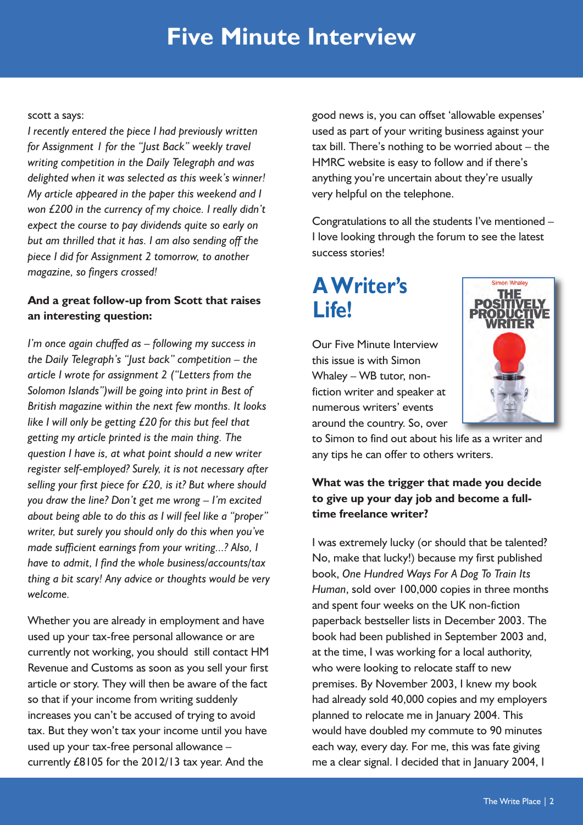### **Five Minute Interview**

#### scott a says:

*I recently entered the piece I had previously written for Assignment 1 for the "Just Back" weekly travel writing competition in the Daily Telegraph and was delighted when it was selected as this week's winner! My article appeared in the paper this weekend and I won £200 in the currency of my choice. I really didn't expect the course to pay dividends quite so early on but am thrilled that it has. I am also sending off the piece I did for Assignment 2 tomorrow, to another magazine, so fingers crossed!*

#### **And a great follow-up from Scott that raises an interesting question:**

*I'm once again chuffed as – following my success in the Daily Telegraph's "Just back" competition – the article I wrote for assignment 2 ("Letters from the Solomon Islands")will be going into print in Best of British magazine within the next few months. It looks like I will only be getting £20 for this but feel that getting my article printed is the main thing. The question I have is, at what point should a new writer register self-employed? Surely, it is not necessary after selling your first piece for £20, is it? But where should you draw the line? Don't get me wrong – I'm excited about being able to do this as I will feel like a "proper" writer, but surely you should only do this when you've made sufficient earnings from your writing...? Also, I have to admit, I find the whole business/accounts/tax thing a bit scary! Any advice or thoughts would be very welcome.*

Whether you are already in employment and have used up your tax-free personal allowance or are currently not working, you should still contact HM Revenue and Customs as soon as you sell your first article or story. They will then be aware of the fact so that if your income from writing suddenly increases you can't be accused of trying to avoid tax. But they won't tax your income until you have used up your tax-free personal allowance – currently £8105 for the 2012/13 tax year. And the

good news is, you can offset 'allowable expenses' used as part of your writing business against your tax bill. There's nothing to be worried about – the HMRC website is easy to follow and if there's anything you're uncertain about they're usually very helpful on the telephone.

Congratulations to all the students I've mentioned – I love looking through the forum to see the latest success stories!

### **AWriter's Life!**



imon Whaley

Our Five Minute Interview this issue is with Simon Whaley – WB tutor, nonfiction writer and speaker at numerous writers' events around the country. So, over

to Simon to find out about his life as a writer and any tips he can offer to others writers.

#### **What was the trigger that made you decide to give up your day job and become a fulltime freelance writer?**

I was extremely lucky (or should that be talented? No, make that lucky!) because my first published book, *One Hundred Ways For A Dog To Train Its Human*, sold over 100,000 copies in three months and spent four weeks on the UK non-fiction paperback bestseller lists in December 2003. The book had been published in September 2003 and, at the time, I was working for a local authority, who were looking to relocate staff to new premises. By November 2003, I knew my book had already sold 40,000 copies and my employers planned to relocate me in January 2004. This would have doubled my commute to 90 minutes each way, every day. For me, this was fate giving me a clear signal. I decided that in January 2004, I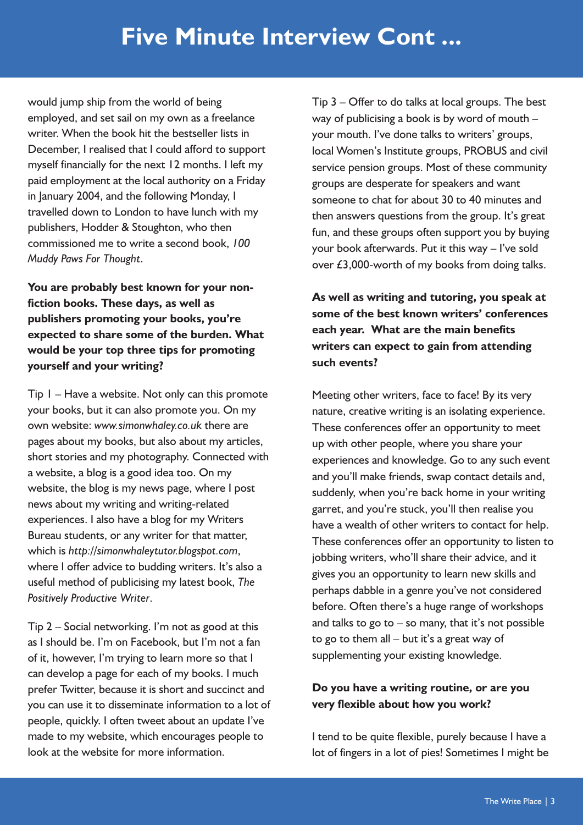would jump ship from the world of being employed, and set sail on my own as a freelance writer. When the book hit the bestseller lists in December, I realised that I could afford to support myself financially for the next 12 months. I left my paid employment at the local authority on a Friday in January 2004, and the following Monday, I travelled down to London to have lunch with my publishers, Hodder & Stoughton, who then commissioned me to write a second book, *100 Muddy Paws For Thought*.

**You are probably best known for your nonfiction books. These days, as well as publishers promoting your books, you're expected to share some of the burden. What would be your top three tips for promoting yourself and your writing?**

Tip 1 – Have a website. Not only can this promote your books, but it can also promote you. On my own website: *www.simonwhaley.co.uk* there are pages about my books, but also about my articles, short stories and my photography. Connected with a website, a blog is a good idea too. On my website, the blog is my news page, where I post news about my writing and writing-related experiences. I also have a blog for my Writers Bureau students, or any writer for that matter, which is *http://simonwhaleytutor.blogspot.com*, where I offer advice to budding writers. It's also a useful method of publicising my latest book, *The Positively Productive Writer*.

Tip 2 – Social networking. I'm not as good at this as I should be. I'm on Facebook, but I'm not a fan of it, however, I'm trying to learn more so that I can develop a page for each of my books. I much prefer Twitter, because it is short and succinct and you can use it to disseminate information to a lot of people, quickly. I often tweet about an update I've made to my website, which encourages people to look at the website for more information.

Tip 3 – Offer to do talks at local groups. The best way of publicising a book is by word of mouth – your mouth. I've done talks to writers' groups, local Women's Institute groups, PROBUS and civil service pension groups. Most of these community groups are desperate for speakers and want someone to chat for about 30 to 40 minutes and then answers questions from the group. It's great fun, and these groups often support you by buying your book afterwards. Put it this way – I've sold over £3,000-worth of my books from doing talks.

**As well as writing and tutoring, you speak at some of the best known writers' conferences each year. What are the main benefits writers can expect to gain from attending such events?**

Meeting other writers, face to face! By its very nature, creative writing is an isolating experience. These conferences offer an opportunity to meet up with other people, where you share your experiences and knowledge. Go to any such event and you'll make friends, swap contact details and, suddenly, when you're back home in your writing garret, and you're stuck, you'll then realise you have a wealth of other writers to contact for help. These conferences offer an opportunity to listen to jobbing writers, who'll share their advice, and it gives you an opportunity to learn new skills and perhaps dabble in a genre you've not considered before. Often there's a huge range of workshops and talks to go to  $-$  so many, that it's not possible to go to them all – but it's a great way of supplementing your existing knowledge.

#### **Do you have a writing routine, or are you very flexible about how you work?**

I tend to be quite flexible, purely because I have a lot of fingers in a lot of pies! Sometimes I might be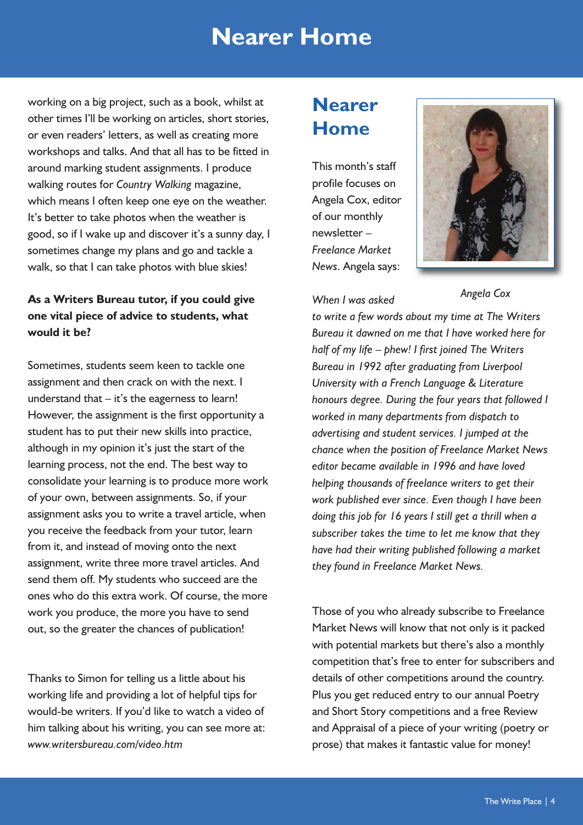### **Nearer Home**

working on a big project, such as a book, whilst at other times I'll be working on articles, short stories, or even readers' letters, as well as creating more workshops and talks. And that all has to be fitted in around marking student assignments. I produce walking routes for *Country Walking* magazine, which means I often keep one eye on the weather. It's better to take photos when the weather is good, so if I wake up and discover it's a sunny day, I sometimes change my plans and go and tackle a walk, so that I can take photos with blue skies!

#### **As a Writers Bureau tutor, if you could give one vital piece of advice to students, what would it be?**

Sometimes, students seem keen to tackle one assignment and then crack on with the next. I understand that  $-$  it's the eagerness to learn! However, the assignment is the first opportunity a student has to put their new skills into practice, although in my opinion it's just the start of the learning process, not the end. The best way to consolidate your learning is to produce more work of your own, between assignments. So, if your assignment asks you to write a travel article, when you receive the feedback from your tutor, learn from it, and instead of moving onto the next assignment, write three more travel articles. And send them off. My students who succeed are the ones who do this extra work. Of course, the more work you produce, the more you have to send out, so the greater the chances of publication!

Thanks to Simon for telling us a little about his working life and providing a lot of helpful tips for would-be writers. If you'd like to watch a video of him talking about his writing, you can see more at: *www.writersbureau.com/video.htm*

### **Nearer Home**

This month's staff profile focuses on Angela Cox, editor of our monthly newsletter – *Freelance Market News*. Angela says:





*Angela Cox*

*to write a few words about my time at The Writers Bureau it dawned on me that I have worked here for half of my life – phew! I first joined The Writers Bureau in 1992 after graduating from Liverpool University with a French Language & Literature honours degree. During the four years that followed I worked in many departments from dispatch to advertising and student services. I jumped at the chance when the position of Freelance Market News editor became available in 1996 and have loved helping thousands of freelance writers to get their work published ever since. Even though I have been doing this job for 16 years I still get a thrill when a subscriber takes the time to let me know that they have had their writing published following a market they found in Freelance Market News.*

Those of you who already subscribe to Freelance Market News will know that not only is it packed with potential markets but there's also a monthly competition that's free to enter for subscribers and details of other competitions around the country. Plus you get reduced entry to our annual Poetry and Short Story competitions and a free Review and Appraisal of a piece of your writing (poetry or prose) that makes it fantastic value for money!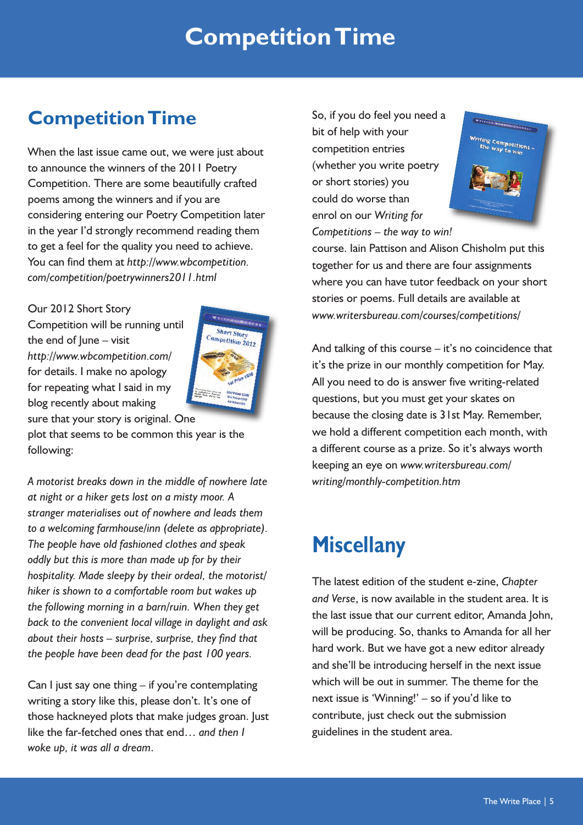### **CompetitionTime**

### **CompetitionTime**

When the last issue came out, we were just about to announce the winners of the 2011 Poetry Competition. There are some beautifully crafted poems among the winners and if you are considering entering our Poetry Competition later in the year I'd strongly recommend reading them to get a feel for the quality you need to achieve. You can find them at *http://www.wbcompetition. com/competition/poetrywinners2011.html*

Our 2012 Short Story

Competition will be running until the end of  $lune - visit$ *http://www.wbcompetition.com/* for details. I make no apology for repeating what I said in my blog recently about making sure that your story is original. One



plot that seems to be common this year is the following:

*A motorist breaks down in the middle of nowhere late at night or a hiker gets lost on a misty moor. A stranger materialises out of nowhere and leads them to a welcoming farmhouse/inn (delete as appropriate). The people have old fashioned clothes and speak oddly but this is more than made up for by their hospitality. Made sleepy by their ordeal, the motorist/ hiker is shown to a comfortable room but wakes up the following morning in a barn/ruin. When they get back to the convenient local village in daylight and ask about their hosts – surprise, surprise, they find that the people have been dead for the past 100 years.*

Can I just say one thing – if you're contemplating writing a story like this, please don't. It's one of those hackneyed plots that make judges groan. Just like the far-fetched ones that end… *and then I woke up, it was all a dream*.

So, if you do feel you need a bit of help with your competition entries (whether you write poetry or short stories) you could do worse than enrol on our *Writing for Competitions – the way to win!*



course. Iain Pattison and Alison Chisholm put this together for us and there are four assignments where you can have tutor feedback on your short stories or poems. Full details are available at *www.writersbureau.com/courses/competitions/*

And talking of this course – it's no coincidence that it's the prize in our monthly competition for May. All you need to do is answer five writing-related questions, but you must get your skates on because the closing date is 31st May. Remember, we hold a different competition each month, with a different course as a prize. So it's always worth keeping an eye on *www.writersbureau.com/ writing/monthly-competition.htm*

### **Miscellany**

The latest edition of the student e-zine, *Chapter and Verse*, is now available in the student area. It is the last issue that our current editor, Amanda John, will be producing. So, thanks to Amanda for all her hard work. But we have got a new editor already and she'll be introducing herself in the next issue which will be out in summer. The theme for the next issue is 'Winning!' – so if you'd like to contribute, just check out the submission guidelines in the student area.